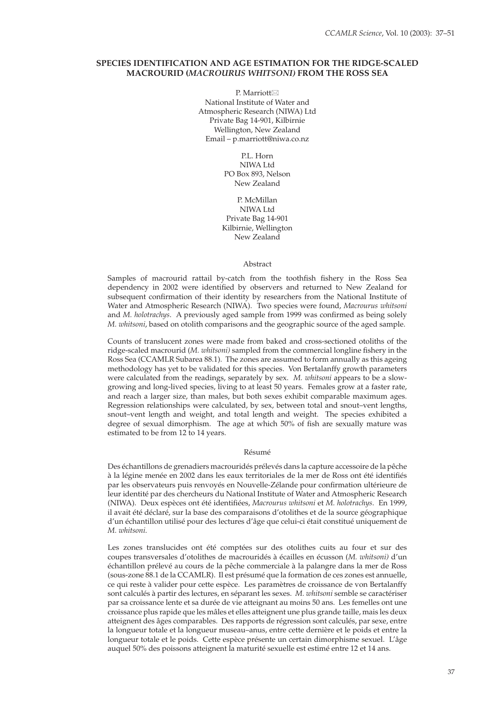# **SPECIES IDENTIFICATION AND AGE ESTIMATION FOR THE RIDGE-SCALED MACROURID (***MACROURUS WHITSONI)* **FROM THE ROSS SEA**

P. Marriott⊠ National Institute of Water and Atmospheric Research (NIWA) Ltd Private Bag 14-901, Kilbirnie Wellington, New Zealand Email – p.marriott@niwa.co.nz

> P.L. Horn NIWA Ltd PO Box 893, Nelson New Zealand

P. McMillan NIWA Ltd Private Bag 14-901 Kilbirnie, Wellington New Zealand

### Abstract

Samples of macrourid rattail by-catch from the toothfish fishery in the Ross Sea dependency in 2002 were identified by observers and returned to New Zealand for subsequent confirmation of their identity by researchers from the National Institute of Water and Atmospheric Research (NIWA). Two species were found, *Macrourus whitsoni*  and *M. holotrachys*. A previously aged sample from 1999 was confirmed as being solely *M. whitsoni*, based on otolith comparisons and the geographic source of the aged sample.

Counts of translucent zones were made from baked and cross-sectioned otoliths of the ridge-scaled macrourid (*M. whitsoni*) sampled from the commercial longline fishery in the Ross Sea (CCAMLR Subarea 88.1). The zones are assumed to form annually as this ageing methodology has yet to be validated for this species. Von Bertalanffy growth parameters were calculated from the readings, separately by sex. *M. whitsoni* appears to be a slowgrowing and long-lived species, living to at least 50 years. Females grow at a faster rate, and reach a larger size, than males, but both sexes exhibit comparable maximum ages. Regression relationships were calculated, by sex, between total and snout–vent lengths, snout–vent length and weight, and total length and weight. The species exhibited a degree of sexual dimorphism. The age at which 50% of fish are sexually mature was estimated to be from 12 to 14 years.

#### Résumé

Des échantillons de grenadiers macrouridés prélevés dans la capture accessoire de la pêche à la légine menée en 2002 dans les eaux territoriales de la mer de Ross ont été identifiés par les observateurs puis renvoyés en Nouvelle-Zélande pour confirmation ultérieure de leur identité par des chercheurs du National Institute of Water and Atmospheric Research (NIWA). Deux espèces ont été identifiées, Macrourus whitsoni et M. holotrachys. En 1999, il avait été déclaré, sur la base des comparaisons d'otolithes et de la source géographique d'un échantillon utilisé pour des lectures d'âge que celui-ci était constitué uniquement de *M. whitsoni*.

Les zones translucides ont été comptées sur des otolithes cuits au four et sur des coupes transversales d'otolithes de macrouridés à écailles en écusson (*M. whitsoni)* d'un échantillon prélevé au cours de la pêche commerciale à la palangre dans la mer de Ross (sous-zone 88.1 de la CCAMLR). Il est présumé que la formation de ces zones est annuelle, ce qui reste à valider pour cette espèce. Les paramètres de croissance de von Bertalanffy sont calculés à partir des lectures, en séparant les sexes. *M. whitsoni* semble se caractériser par sa croissance lente et sa durée de vie atteignant au moins 50 ans. Les femelles ont une croissance plus rapide que les mâles et elles atteignent une plus grande taille, mais les deux atteignent des âges comparables. Des rapports de régression sont calculés, par sexe, entre la longueur totale et la longueur museau–anus, entre cette dernière et le poids et entre la longueur totale et le poids. Cette espèce présente un certain dimorphisme sexuel. L'âge auquel 50% des poissons atteignent la maturité sexuelle est estimé entre 12 et 14 ans.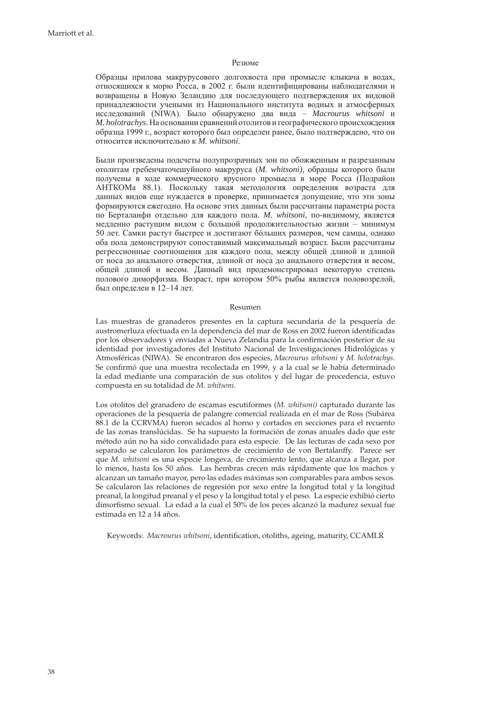#### Резюме

Образцы прилова макрурусового долгохвоста при промысле клыкача в водах, относящихся к морю Росса, в 2002 г. были идентифицированы наблюдателями и возвращены в Новую Зеландию для последующего подтверждения их видовой принадлежности учеными из Национального института водных и атмосферных исследований (NIWA). Было обнаружено два вида – *Macrourus whitsoni* и *M. holotrachys*. На основании сравнений отолитов и географического происхождения образца 1999 г., возраст которого был определен ранее, было подтверждено, что он относится исключительно к *M. whitsoni*.

Были произведены подсчеты полупрозрачных зон по обожженным и разрезанным отолитам гребенчаточешуйного макруруса (*M. whitsoni)*, образцы которого были получены в ходе коммерческого ярусного промысла в море Росса (Подрайон АНТКОМа 88.1). Поскольку такая методология определения возраста для данных видов еще нуждается в проверке, принимается допущение, что эти зоны формируются ежегодно. На основе этих данных были рассчитаны параметры роста по Берталанфи отдельно для каждого пола. *M. whitsoni*, по-видимому, является медленно растущим видом с большой продолжительностью жизни – минимум 50 лет. Самки растут быстрее и достигают бóльших размеров, чем самцы, однако оба пола демонстрируют сопоставимый максимальный возраст. Были рассчитаны регрессионные соотношения для каждого пола, между общей длиной и длиной от носа до анального отверстия, длиной от носа до анального отверстия и весом, общей длиной и весом. Данный вид продемонстрировал некоторую степень полового диморфизма. Возраст, при котором 50% рыбы является половозрелой, был определен в 12–14 лет.

#### Resumen

Las muestras de granaderos presentes en la captura secundaria de la pesquería de austromerluza efectuada en la dependencia del mar de Ross en 2002 fueron identificadas por los observadores y enviadas a Nueva Zelandia para la confirmación posterior de su identidad por investigadores del Instituto Nacional de Investigaciones Hidrológicas y Atmosféricas (NIWA). Se encontraron dos especies, *Macrourus whitsoni* y *M. holotrachys*. Se confirmó que una muestra recolectada en 1999, y a la cual se le había determinado la edad mediante una comparación de sus otolitos y del lugar de procedencia, estuvo compuesta en su totalidad de *M. whitsoni*.

Los otolitos del granadero de escamas escutiformes (*M. whitsoni)* capturado durante las operaciones de la pesquería de palangre comercial realizada en el mar de Ross (Subárea 88.1 de la CCRVMA) fueron secados al horno y cortados en secciones para el recuento de las zonas translúcidas. Se ha supuesto la formación de zonas anuales dado que este método aún no ha sido convalidado para esta especie. De las lecturas de cada sexo por separado se calcularon los parámetros de crecimiento de von Bertalanffy. Parece ser que *M. whitsoni* es una especie longeva, de crecimiento lento, que alcanza a llegar, por lo menos, hasta los 50 años. Las hembras crecen más rápidamente que los machos y alcanzan un tamaño mayor, pero las edades máximas son comparables para ambos sexos. Se calcularon las relaciones de regresión por sexo entre la longitud total y la longitud preanal, la longitud preanal y el peso y la longitud total y el peso. La especie exhibió cierto dimorfismo sexual. La edad a la cual el 50% de los peces alcanzó la madurez sexual fue estimada en 12 a 14 años.

Keywords: *Macrourus whitsoni*, identification, otoliths, ageing, maturity, CCAMLR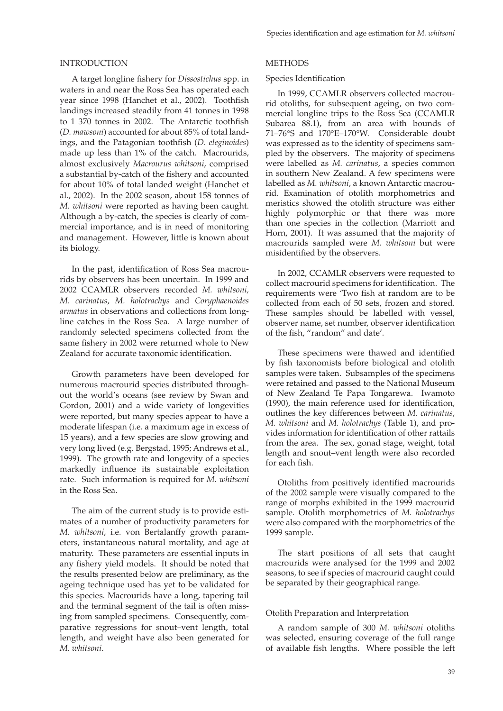#### INTRODUCTION

A target longline fishery for *Dissostichus* spp. in waters in and near the Ross Sea has operated each year since 1998 (Hanchet et al., 2002). Toothfish landings increased steadily from 41 tonnes in 1998 to 1 370 tonnes in 2002. The Antarctic toothfish (*D. mawsoni*) accounted for about 85% of total landings, and the Patagonian toothfish (*D. eleginoides*) made up less than 1% of the catch. Macrourids, almost exclusively *Macrourus whitsoni*, comprised a substantial by-catch of the fishery and accounted for about 10% of total landed weight (Hanchet et al., 2002). In the 2002 season, about 158 tonnes of *M. whitsoni* were reported as having been caught. Although a by-catch, the species is clearly of commercial importance, and is in need of monitoring and management. However, little is known about its biology.

In the past, identification of Ross Sea macrourids by observers has been uncertain. In 1999 and 2002 CCAMLR observers recorded *M. whitsoni, M. carinatus*, *M. holotrachys* and *Coryphaenoides armatus* in observations and collections from longline catches in the Ross Sea. A large number of randomly selected specimens collected from the same fishery in 2002 were returned whole to New Zealand for accurate taxonomic identification.

Growth parameters have been developed for numerous macrourid species distributed throughout the world's oceans (see review by Swan and Gordon, 2001) and a wide variety of longevities were reported, but many species appear to have a moderate lifespan (i.e. a maximum age in excess of 15 years), and a few species are slow growing and very long lived (e.g. Bergstad, 1995; Andrews et al., 1999). The growth rate and longevity of a species markedly influence its sustainable exploitation rate. Such information is required for *M. whitsoni* in the Ross Sea.

The aim of the current study is to provide estimates of a number of productivity parameters for *M. whitsoni*, i.e. von Bertalanffy growth parameters, instantaneous natural mortality, and age at maturity. These parameters are essential inputs in any fishery yield models. It should be noted that the results presented below are preliminary, as the ageing technique used has yet to be validated for this species. Macrourids have a long, tapering tail and the terminal segment of the tail is often missing from sampled specimens. Consequently, comparative regressions for snout–vent length, total length, and weight have also been generated for *M. whitsoni*.

#### **METHODS**

#### Species Identification

In 1999, CCAMLR observers collected macrourid otoliths, for subsequent ageing, on two commercial longline trips to the Ross Sea (CCAMLR Subarea 88.1), from an area with bounds of 71–76°S and 170°E–170°W. Considerable doubt was expressed as to the identity of specimens sampled by the observers. The majority of specimens were labelled as *M. carinatus*, a species common in southern New Zealand. A few specimens were labelled as *M. whitsoni*, a known Antarctic macrourid. Examination of otolith morphometrics and meristics showed the otolith structure was either highly polymorphic or that there was more than one species in the collection (Marriott and Horn, 2001). It was assumed that the majority of macrourids sampled were *M. whitsoni* but were misidentified by the observers.

In 2002, CCAMLR observers were requested to collect macrourid specimens for identification. The requirements were 'Two fish at random are to be collected from each of 50 sets, frozen and stored. These samples should be labelled with vessel, observer name, set number, observer identification of the fish, "random" and date'.

These specimens were thawed and identified by fish taxonomists before biological and otolith samples were taken. Subsamples of the specimens were retained and passed to the National Museum of New Zealand Te Papa Tongarewa. Iwamoto  $(1990)$ , the main reference used for identification, outlines the key differences between *M. carinatus*, *M. whitsoni* and *M. holotrachys* (Table 1), and provides information for identification of other rattails from the area. The sex, gonad stage, weight, total length and snout–vent length were also recorded for each fish.

Otoliths from positively identified macrourids of the 2002 sample were visually compared to the range of morphs exhibited in the 1999 macrourid sample. Otolith morphometrics of *M. holotrachys* were also compared with the morphometrics of the 1999 sample.

The start positions of all sets that caught macrourids were analysed for the 1999 and 2002 seasons, to see if species of macrourid caught could be separated by their geographical range.

#### Otolith Preparation and Interpretation

A random sample of 300 *M. whitsoni* otoliths was selected, ensuring coverage of the full range of available fish lengths. Where possible the left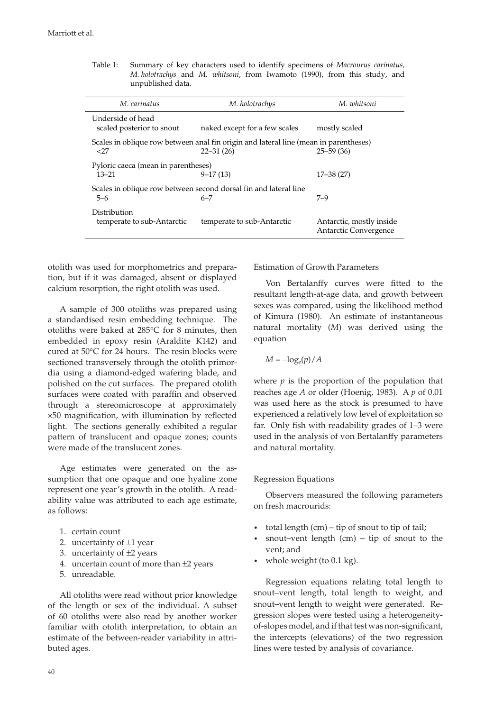| M. carinatus                                     | M. holotrachys                                                                                        | M. whitsoni                                       |  |
|--------------------------------------------------|-------------------------------------------------------------------------------------------------------|---------------------------------------------------|--|
| Underside of head<br>scaled posterior to snout   | naked except for a few scales                                                                         | mostly scaled                                     |  |
| <27                                              | Scales in oblique row between anal fin origin and lateral line (mean in parentheses)<br>$22 - 31(26)$ | $25 - 59(36)$                                     |  |
| Pyloric caeca (mean in parentheses)<br>$13 - 21$ | $9 - 17(13)$                                                                                          | $17 - 38(27)$                                     |  |
| $5 - 6$                                          | Scales in oblique row between second dorsal fin and lateral line<br>$6 - 7$                           | $7 - 9$                                           |  |
| Distribution<br>temperate to sub-Antarctic       | temperate to sub-Antarctic                                                                            | Antarctic, mostly inside<br>Antarctic Convergence |  |

Table 1: Summary of key characters used to identify specimens of *Macrourus carinatus, M. holotrachys* and *M. whitsoni*, from Iwamoto (1990), from this study, and unpublished data.

otolith was used for morphometrics and preparation, but if it was damaged, absent or displayed calcium resorption, the right otolith was used.

A sample of 300 otoliths was prepared using a standardised resin embedding technique. The otoliths were baked at 285°C for 8 minutes, then embedded in epoxy resin (Araldite K142) and cured at 50°C for 24 hours. The resin blocks were sectioned transversely through the otolith primordia using a diamond-edged wafering blade, and polished on the cut surfaces. The prepared otolith surfaces were coated with paraffin and observed through a stereomicroscope at approximately  $\times$ 50 magnification, with illumination by reflected light. The sections generally exhibited a regular pattern of translucent and opaque zones; counts were made of the translucent zones.

Age estimates were generated on the assumption that one opaque and one hyaline zone represent one year's growth in the otolith. A readability value was attributed to each age estimate, as follows:

- 1. certain count
- 2. uncertainty of  $\pm 1$  year
- 3. uncertainty of  $\pm 2$  years
- 4. uncertain count of more than  $\pm 2$  years
- 5. unreadable.

All otoliths were read without prior knowledge of the length or sex of the individual. A subset of 60 otoliths were also read by another worker familiar with otolith interpretation, to obtain an estimate of the between-reader variability in attributed ages.

Estimation of Growth Parameters

Von Bertalanffy curves were fitted to the resultant length-at-age data, and growth between sexes was compared, using the likelihood method of Kimura (1980). An estimate of instantaneous natural mortality (*M*) was derived using the equation

$$
M = -\log_e(p)/A
$$

where  $p$  is the proportion of the population that reaches age *A* or older (Hoenig, 1983). A *p* of 0.01 was used here as the stock is presumed to have experienced a relatively low level of exploitation so far. Only fish with readability grades of  $1-3$  were used in the analysis of von Bertalanffy parameters and natural mortality.

#### Regression Equations

Observers measured the following parameters on fresh macrourids:

- total length  $(cm)$  tip of snout to tip of tail;
- snout–vent length  $(cm)$  tip of snout to the vent; and
- whole weight (to 0.1 kg).

Regression equations relating total length to snout–vent length, total length to weight, and snout–vent length to weight were generated. Regression slopes were tested using a heterogeneityof-slopes model, and if that test was non-significant, the intercepts (elevations) of the two regression lines were tested by analysis of covariance.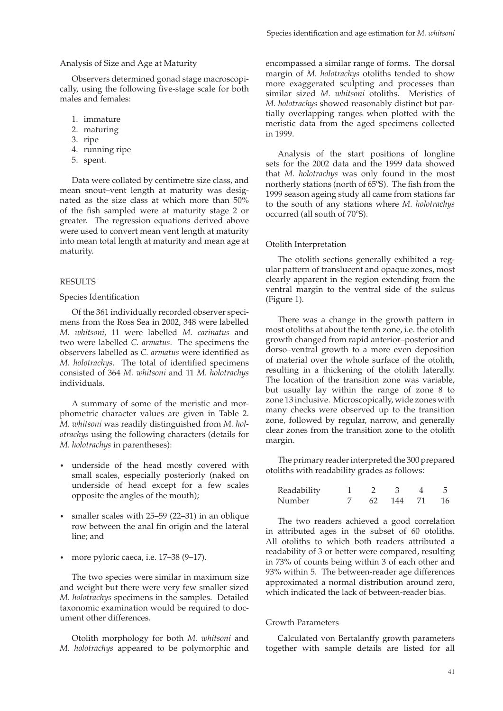# Analysis of Size and Age at Maturity

Observers determined gonad stage macroscopically, using the following five-stage scale for both males and females:

- 1. immature
- 2. maturing
- 3. ripe
- 4. running ripe
- 5. spent.

Data were collated by centimetre size class, and mean snout–vent length at maturity was designated as the size class at which more than 50% of the fish sampled were at maturity stage 2 or greater. The regression equations derived above were used to convert mean vent length at maturity into mean total length at maturity and mean age at maturity.

# RESULTS

#### Species Identification

Of the 361 individually recorded observer specimens from the Ross Sea in 2002, 348 were labelled *M. whitsoni,* 11 were labelled *M. carinatus* and two were labelled *C. armatus*. The specimens the observers labelled as *C. armatus* were identified as *M. holotrachys.* The total of identified specimens consisted of 364 *M. whitsoni* and 11 *M. holotrachys*  individuals.

A summary of some of the meristic and morphometric character values are given in Table 2. *M. whitsoni* was readily distinguished from *M. holotrachys* using the following characters (details for *M. holotrachys* in parentheses):

- underside of the head mostly covered with small scales, especially posteriorly (naked on underside of head except for a few scales opposite the angles of the mouth);
- smaller scales with 25–59 (22–31) in an oblique row between the anal fin origin and the lateral line; and
- more pyloric caeca, i.e. 17–38 (9–17).

The two species were similar in maximum size and weight but there were very few smaller sized *M. holotrachys* specimens in the samples. Detailed taxonomic examination would be required to document other differences.

Otolith morphology for both *M. whitsoni* and *M. holotrachys* appeared to be polymorphic and encompassed a similar range of forms. The dorsal margin of *M. holotrachys* otoliths tended to show more exaggerated sculpting and processes than similar sized *M. whitsoni* otoliths. Meristics of *M. holotrachys* showed reasonably distinct but partially overlapping ranges when plotted with the meristic data from the aged specimens collected in 1999.

Analysis of the start positions of longline sets for the 2002 data and the 1999 data showed that *M. holotrachys* was only found in the most northerly stations (north of  $65^{\circ}$ S). The fish from the 1999 season ageing study all came from stations far to the south of any stations where *M. holotrachys* occurred (all south of 70ºS).

# Otolith Interpretation

The otolith sections generally exhibited a regular pattern of translucent and opaque zones, most clearly apparent in the region extending from the ventral margin to the ventral side of the sulcus (Figure 1).

There was a change in the growth pattern in most otoliths at about the tenth zone, i.e. the otolith growth changed from rapid anterior–posterior and dorso–ventral growth to a more even deposition of material over the whole surface of the otolith, resulting in a thickening of the otolith laterally. The location of the transition zone was variable, but usually lay within the range of zone 8 to zone 13 inclusive. Microscopically, wide zones with many checks were observed up to the transition zone, followed by regular, narrow, and generally clear zones from the transition zone to the otolith margin.

The primary reader interpreted the 300 prepared otoliths with readability grades as follows:

| Readability |    |       |    |
|-------------|----|-------|----|
| Number      | 62 | - 144 | 16 |

The two readers achieved a good correlation in attributed ages in the subset of 60 otoliths. All otoliths to which both readers attributed a readability of 3 or better were compared, resulting in 73% of counts being within 3 of each other and 93% within 5. The between-reader age differences approximated a normal distribution around zero, which indicated the lack of between-reader bias.

#### Growth Parameters

Calculated von Bertalanffy growth parameters together with sample details are listed for all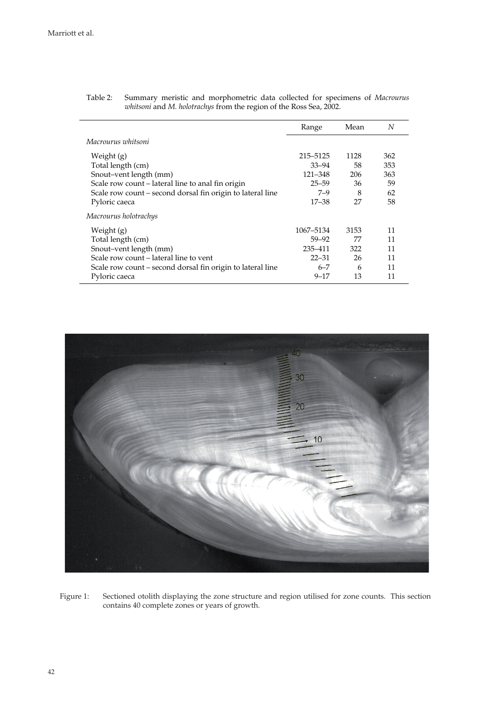|                                                            | Range     | Mean | N   |
|------------------------------------------------------------|-----------|------|-----|
| Macrourus whitsoni                                         |           |      |     |
| Weight $(g)$                                               | 215–5125  | 1128 | 362 |
| Total length (cm)                                          | $33 - 94$ | 58   | 353 |
| Snout-vent length (mm)                                     | 121-348   | 206  | 363 |
| Scale row count – lateral line to anal fin origin          | $25 - 59$ | 36   | 59  |
| Scale row count - second dorsal fin origin to lateral line | $7 - 9$   | 8    | 62  |
| Pyloric caeca                                              | $17 - 38$ | 27   | 58  |
| Macrourus holotrachys                                      |           |      |     |
| Weight (g)                                                 | 1067-5134 | 3153 | 11  |
| Total length (cm)                                          | $59 - 92$ | 77   | 11  |
| Snout-vent length (mm)                                     | 235-411   | 322  | 11  |
| Scale row count – lateral line to vent                     | $22 - 31$ | 26   | 11  |
| Scale row count – second dorsal fin origin to lateral line | $6 - 7$   | 6    | 11  |
| Pyloric caeca                                              | $9 - 17$  | 13   | 11  |

Table 2: Summary meristic and morphometric data collected for specimens of *Macrourus whitsoni* and *M. holotrachys* from the region of the Ross Sea, 2002.



Figure 1: Sectioned otolith displaying the zone structure and region utilised for zone counts. This section contains 40 complete zones or years of growth.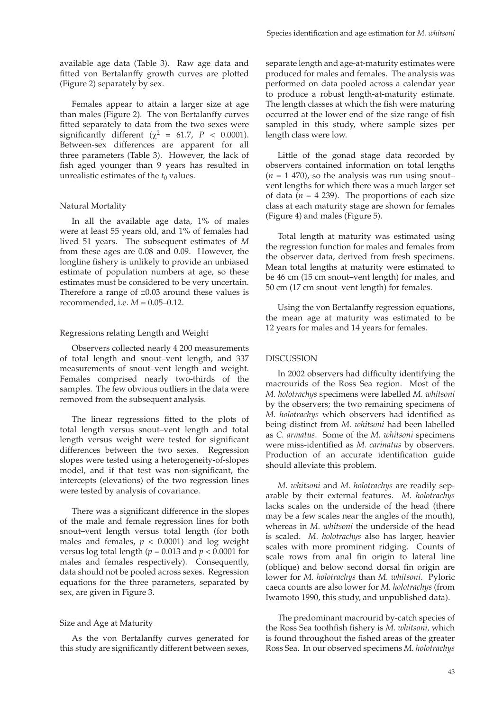available age data (Table 3). Raw age data and fitted von Bertalanffy growth curves are plotted (Figure 2) separately by sex.

Females appear to attain a larger size at age than males (Figure 2). The von Bertalanffy curves fitted separately to data from the two sexes were significantly different ( $\chi^2$  = 61.7, *P* < 0.0001). Between-sex differences are apparent for all three parameters (Table 3). However, the lack of fish aged younger than 9 years has resulted in unrealistic estimates of the  $t_0$  values.

#### Natural Mortality

In all the available age data, 1% of males were at least 55 years old, and 1% of females had lived 51 years. The subsequent estimates of *M* from these ages are 0.08 and 0.09. However, the longline fishery is unlikely to provide an unbiased estimate of population numbers at age, so these estimates must be considered to be very uncertain. Therefore a range of  $\pm 0.03$  around these values is recommended, i.e. *M* = 0.05–0.12.

#### Regressions relating Length and Weight

Observers collected nearly 4 200 measurements of total length and snout–vent length, and 337 measurements of snout–vent length and weight. Females comprised nearly two-thirds of the samples. The few obvious outliers in the data were removed from the subsequent analysis.

The linear regressions fitted to the plots of total length versus snout–vent length and total length versus weight were tested for significant differences between the two sexes. Regression slopes were tested using a heterogeneity-of-slopes model, and if that test was non-significant, the intercepts (elevations) of the two regression lines were tested by analysis of covariance.

There was a significant difference in the slopes of the male and female regression lines for both snout–vent length versus total length (for both males and females,  $p < 0.0001$ ) and log weight versus log total length (*p* = 0.013 and *p* < 0.0001 for males and females respectively). Consequently, data should not be pooled across sexes. Regression equations for the three parameters, separated by sex, are given in Figure 3.

#### Size and Age at Maturity

As the von Bertalanffy curves generated for this study are significantly different between sexes, separate length and age-at-maturity estimates were produced for males and females. The analysis was performed on data pooled across a calendar year to produce a robust length-at-maturity estimate. The length classes at which the fish were maturing occurred at the lower end of the size range of fish sampled in this study, where sample sizes per length class were low.

Little of the gonad stage data recorded by observers contained information on total lengths  $(n = 1 470)$ , so the analysis was run using snout– vent lengths for which there was a much larger set of data  $(n = 4 239)$ . The proportions of each size class at each maturity stage are shown for females (Figure 4) and males (Figure 5).

Total length at maturity was estimated using the regression function for males and females from the observer data, derived from fresh specimens. Mean total lengths at maturity were estimated to be 46 cm (15 cm snout–vent length) for males, and 50 cm (17 cm snout–vent length) for females.

Using the von Bertalanffy regression equations, the mean age at maturity was estimated to be 12 years for males and 14 years for females.

#### DISCUSSION

In 2002 observers had difficulty identifying the macrourids of the Ross Sea region. Most of the *M. holotrachys* specimens were labelled *M. whitsoni* by the observers; the two remaining specimens of *M. holotrachys* which observers had identified as being distinct from *M. whitsoni* had been labelled as *C. armatus*. Some of the *M. whitsoni* specimens were miss-identified as *M. carinatus* by observers. Production of an accurate identification guide should alleviate this problem.

*M. whitsoni* and *M. holotrachys* are readily separable by their external features. *M. holotrachys* lacks scales on the underside of the head (there may be a few scales near the angles of the mouth), whereas in *M. whitsoni* the underside of the head is scaled. *M. holotrachys* also has larger, heavier scales with more prominent ridging. Counts of scale rows from anal fin origin to lateral line (oblique) and below second dorsal fin origin are lower for *M. holotrachys* than *M. whitsoni*. Pyloric caeca counts are also lower for *M. holotrachys* (from Iwamoto 1990, this study, and unpublished data).

The predominant macrourid by-catch species of the Ross Sea toothfish fishery is *M. whitsoni*, which is found throughout the fished areas of the greater Ross Sea. In our observed specimens *M. holotrachys*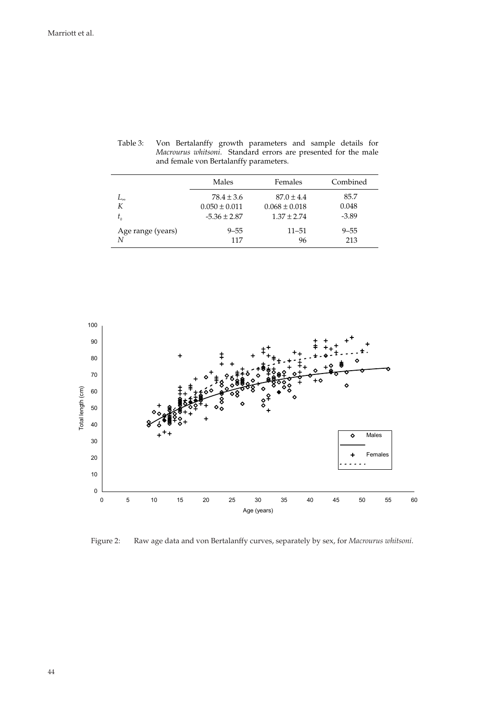|                   | Males             | Females           | Combined |
|-------------------|-------------------|-------------------|----------|
| ⊷                 | $78.4 \pm 3.6$    | $87.0 \pm 4.4$    | 85.7     |
| К                 | $0.050 \pm 0.011$ | $0.068 \pm 0.018$ | 0.048    |
| $t_{0}$           | $-5.36 \pm 2.87$  | $1.37 \pm 2.74$   | $-3.89$  |
| Age range (years) | $9 - 55$          | $11 - 51$         | $9 - 55$ |
| N                 | 117               | 96                | 213      |

Table 3: Von Bertalanffy growth parameters and sample details for *Macrourus whitsoni*. Standard errors are presented for the male and female von Bertalanffy parameters.



Figure 2: Raw age data and von Bertalanffy curves, separately by sex, for *Macrourus whitsoni*.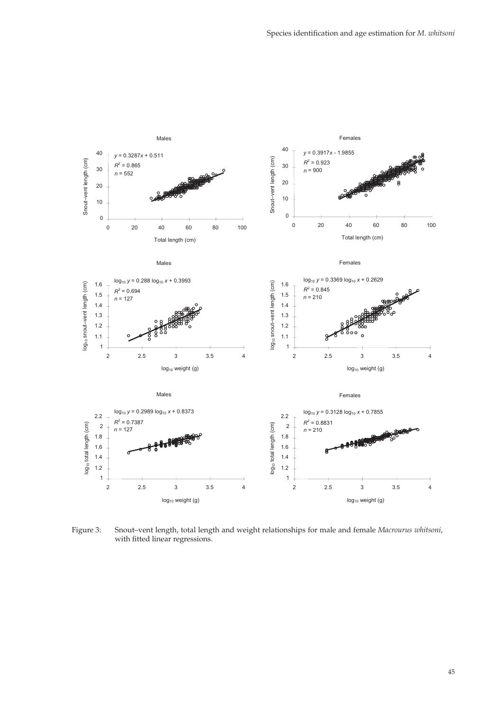

Figure 3: Snout–vent length, total length and weight relationships for male and female *Macrourus whitsoni*, with fitted linear regressions.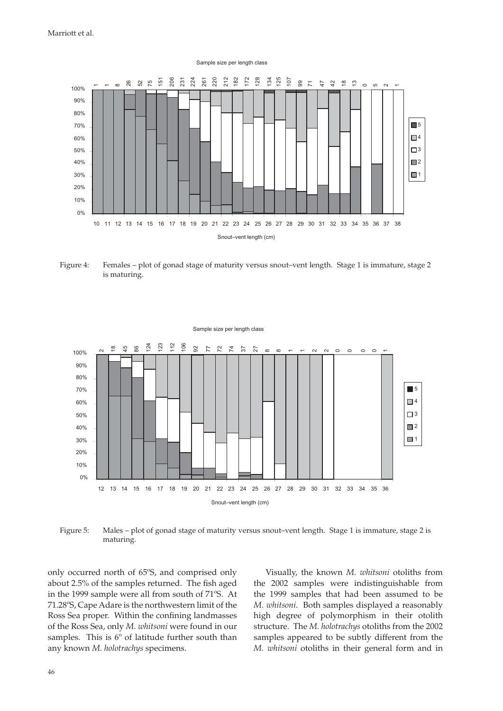

Figure 4: Females – plot of gonad stage of maturity versus snout–vent length. Stage 1 is immature, stage 2 is maturing.



Figure 5: Males – plot of gonad stage of maturity versus snout–vent length. Stage 1 is immature, stage 2 is maturing.

only occurred north of 65ºS, and comprised only about 2.5% of the samples returned. The fish aged in the 1999 sample were all from south of 71ºS. At 71.28ºS, Cape Adare is the northwestern limit of the Ross Sea proper. Within the confining landmasses of the Ross Sea, only *M. whitsoni* were found in our samples. This is 6° of latitude further south than any known *M. holotrachys* specimens.

Visually, the known *M. whitsoni* otoliths from the 2002 samples were indistinguishable from the 1999 samples that had been assumed to be *M. whitsoni*. Both samples displayed a reasonably high degree of polymorphism in their otolith structure. The *M. holotrachys* otoliths from the 2002 samples appeared to be subtly different from the *M. whitsoni* otoliths in their general form and in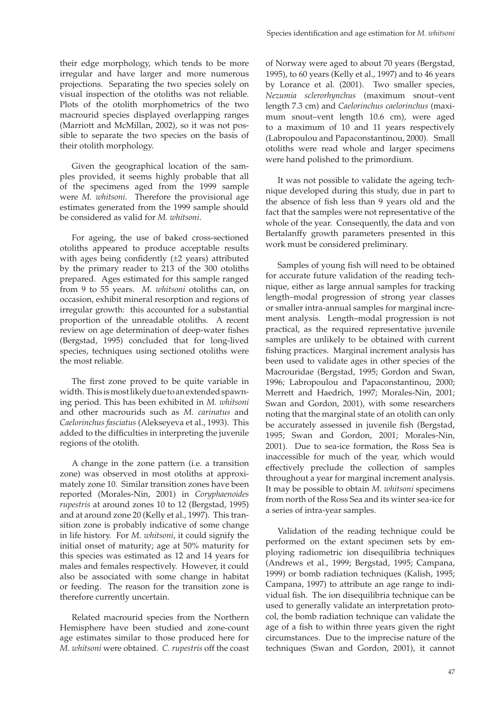their edge morphology, which tends to be more irregular and have larger and more numerous projections. Separating the two species solely on visual inspection of the otoliths was not reliable. Plots of the otolith morphometrics of the two macrourid species displayed overlapping ranges (Marriott and McMillan, 2002), so it was not possible to separate the two species on the basis of their otolith morphology.

Given the geographical location of the samples provided, it seems highly probable that all of the specimens aged from the 1999 sample were *M. whitsoni*. Therefore the provisional age estimates generated from the 1999 sample should be considered as valid for *M. whitsoni*.

For ageing, the use of baked cross-sectioned otoliths appeared to produce acceptable results with ages being confidently  $(\pm 2 \text{ years})$  attributed by the primary reader to 213 of the 300 otoliths prepared. Ages estimated for this sample ranged from 9 to 55 years. *M. whitsoni* otoliths can, on occasion, exhibit mineral resorption and regions of irregular growth: this accounted for a substantial proportion of the unreadable otoliths. A recent review on age determination of deep-water fishes (Bergstad, 1995) concluded that for long-lived species, techniques using sectioned otoliths were the most reliable.

The first zone proved to be quite variable in width. This is most likely due to an extended spawning period. This has been exhibited in *M. whitsoni* and other macrourids such as *M. carinatus* and *Caelorinchus fasciatus* (Alekseyeva et al., 1993). This added to the difficulties in interpreting the juvenile regions of the otolith.

A change in the zone pattern (i.e. a transition zone) was observed in most otoliths at approximately zone 10. Similar transition zones have been reported (Morales-Nin, 2001) in *Coryphaenoides rupestris* at around zones 10 to 12 (Bergstad, 1995) and at around zone 20 (Kelly et al., 1997). This transition zone is probably indicative of some change in life history. For *M. whitsoni*, it could signify the initial onset of maturity; age at 50% maturity for this species was estimated as 12 and 14 years for males and females respectively. However, it could also be associated with some change in habitat or feeding. The reason for the transition zone is therefore currently uncertain.

Related macrourid species from the Northern Hemisphere have been studied and zone-count age estimates similar to those produced here for *M. whitsoni* were obtained. *C. rupestris* off the coast of Norway were aged to about 70 years (Bergstad, 1995), to 60 years (Kelly et al., 1997) and to 46 years by Lorance et al. (2001). Two smaller species, *Nezumia sclerorhynchus* (maximum snout–vent length 7.3 cm) and *Caelorinchus caelorinchus* (maximum snout–vent length 10.6 cm), were aged to a maximum of 10 and 11 years respectively (Labropoulou and Papaconstantinou, 2000). Small otoliths were read whole and larger specimens were hand polished to the primordium.

It was not possible to validate the ageing technique developed during this study, due in part to the absence of fish less than 9 years old and the fact that the samples were not representative of the whole of the year. Consequently, the data and von Bertalanffy growth parameters presented in this work must be considered preliminary.

Samples of young fish will need to be obtained for accurate future validation of the reading technique, either as large annual samples for tracking length–modal progression of strong year classes or smaller intra-annual samples for marginal increment analysis. Length–modal progression is not practical, as the required representative juvenile samples are unlikely to be obtained with current fishing practices. Marginal increment analysis has been used to validate ages in other species of the Macrouridae (Bergstad, 1995; Gordon and Swan, 1996; Labropoulou and Papaconstantinou, 2000; Merrett and Haedrich, 1997; Morales-Nin, 2001; Swan and Gordon, 2001), with some researchers noting that the marginal state of an otolith can only be accurately assessed in juvenile fish (Bergstad, 1995; Swan and Gordon, 2001; Morales-Nin, 2001). Due to sea-ice formation, the Ross Sea is inaccessible for much of the year, which would effectively preclude the collection of samples throughout a year for marginal increment analysis. It may be possible to obtain *M. whitsoni* specimens from north of the Ross Sea and its winter sea-ice for a series of intra-year samples.

Validation of the reading technique could be performed on the extant specimen sets by employing radiometric ion disequilibria techniques (Andrews et al., 1999; Bergstad, 1995; Campana, 1999) or bomb radiation techniques (Kalish, 1995; Campana, 1997) to attribute an age range to individual fish. The ion disequilibria technique can be used to generally validate an interpretation protocol, the bomb radiation technique can validate the age of a fish to within three years given the right circumstances. Due to the imprecise nature of the techniques (Swan and Gordon, 2001), it cannot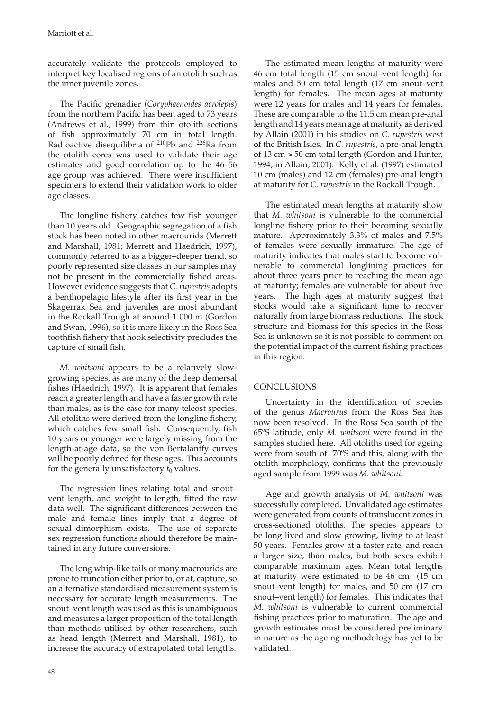accurately validate the protocols employed to interpret key localised regions of an otolith such as the inner juvenile zones.

The Pacific grenadier (*Coryphaenoides acrolepis*) from the northern Pacific has been aged to 73 years (Andrews et al., 1999) from thin otolith sections of fish approximately 70 cm in total length. Radioactive disequilibria of 210Pb and 226Ra from the otolith cores was used to validate their age estimates and good correlation up to the 46–56 age group was achieved. There were insufficient specimens to extend their validation work to older age classes.

The longline fishery catches few fish younger than 10 years old. Geographic segregation of a fish stock has been noted in other macrourids (Merrett and Marshall, 1981; Merrett and Haedrich, 1997), commonly referred to as a bigger–deeper trend, so poorly represented size classes in our samples may not be present in the commercially fished areas. However evidence suggests that *C. rupestris* adopts a benthopelagic lifestyle after its first year in the Skagerrak Sea and juveniles are most abundant in the Rockall Trough at around 1 000 m (Gordon and Swan, 1996), so it is more likely in the Ross Sea toothfish fishery that hook selectivity precludes the capture of small fish.

*M. whitsoni* appears to be a relatively slowgrowing species, as are many of the deep demersal fishes (Haedrich, 1997). It is apparent that females reach a greater length and have a faster growth rate than males, as is the case for many teleost species. All otoliths were derived from the longline fishery, which catches few small fish. Consequently, fish 10 years or younger were largely missing from the length-at-age data, so the von Bertalanffy curves will be poorly defined for these ages. This accounts for the generally unsatisfactory  $t_0$  values.

The regression lines relating total and snout– vent length, and weight to length, fitted the raw data well. The significant differences between the male and female lines imply that a degree of sexual dimorphism exists. The use of separate sex regression functions should therefore be maintained in any future conversions.

The long whip-like tails of many macrourids are prone to truncation either prior to, or at, capture, so an alternative standardised measurement system is necessary for accurate length measurements. The snout–vent length was used as this is unambiguous and measures a larger proportion of the total length than methods utilised by other researchers, such as head length (Merrett and Marshall, 1981), to increase the accuracy of extrapolated total lengths.

The estimated mean lengths at maturity were 46 cm total length (15 cm snout–vent length) for males and 50 cm total length (17 cm snout–vent length) for females. The mean ages at maturity were 12 years for males and 14 years for females. These are comparable to the 11.5 cm mean pre-anal length and 14 years mean age at maturity as derived by Allain (2001) in his studies on *C. rupestris* west of the British Isles. In *C. rupestris*, a pre-anal length of 13 cm  $\approx$  50 cm total length (Gordon and Hunter, 1994, in Allain, 2001). Kelly et al. (1997) estimated 10 cm (males) and 12 cm (females) pre-anal length at maturity for *C. rupestris* in the Rockall Trough.

The estimated mean lengths at maturity show that *M. whitsoni* is vulnerable to the commercial longline fishery prior to their becoming sexually mature. Approximately 3.3% of males and 7.5% of females were sexually immature. The age of maturity indicates that males start to become vulnerable to commercial longlining practices for about three years prior to reaching the mean age at maturity; females are vulnerable for about five years. The high ages at maturity suggest that stocks would take a significant time to recover naturally from large biomass reductions. The stock structure and biomass for this species in the Ross Sea is unknown so it is not possible to comment on the potential impact of the current fishing practices in this region.

# **CONCLUSIONS**

Uncertainty in the identification of species of the genus *Macrourus* from the Ross Sea has now been resolved. In the Ross Sea south of the 65ºS latitude, only *M. whitsoni* were found in the samples studied here. All otoliths used for ageing were from south of 70ºS and this, along with the otolith morphology, confirms that the previously aged sample from 1999 was *M. whitsoni.*

Age and growth analysis of *M. whitsoni* was successfully completed. Unvalidated age estimates were generated from counts of translucent zones in cross-sectioned otoliths. The species appears to be long lived and slow growing, living to at least 50 years. Females grow at a faster rate, and reach a larger size, than males, but both sexes exhibit comparable maximum ages. Mean total lengths at maturity were estimated to be 46 cm (15 cm snout–vent length) for males, and 50 cm (17 cm snout–vent length) for females. This indicates that *M. whitsoni* is vulnerable to current commercial fishing practices prior to maturation. The age and growth estimates must be considered preliminary in nature as the ageing methodology has yet to be validated.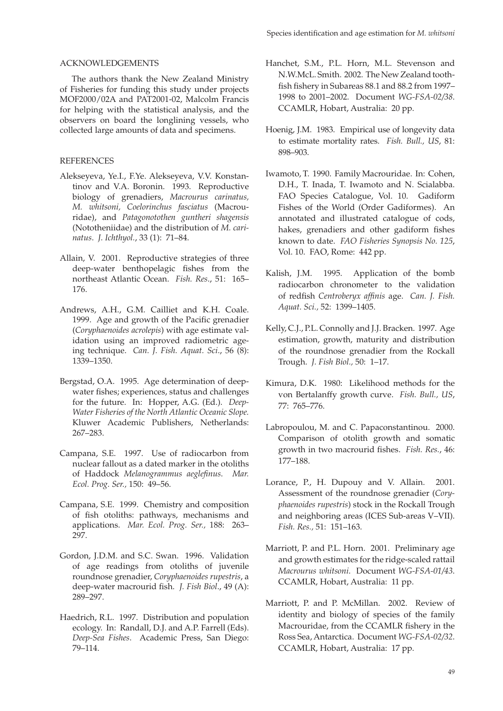# ACKNOWLEDGEMENTS

The authors thank the New Zealand Ministry of Fisheries for funding this study under projects MOF2000/02A and PAT2001-02, Malcolm Francis for helping with the statistical analysis, and the observers on board the longlining vessels, who collected large amounts of data and specimens.

# REFERENCES

- Alekseyeva, Ye.I., F.Ye. Alekseyeva, V.V. Konstantinov and V.A. Boronin. 1993. Reproductive biology of grenadiers, *Macrourus carinatus, M. whitsoni, Coelorinchus fasciatus* (Macrouridae), and *Patagonotothen guntheri shagensis* (Nototheniidae) and the distribution of *M. carinatus*. *J. Ichthyol.*, 33 (1): 71–84.
- Allain, V. 2001. Reproductive strategies of three deep-water benthopelagic fishes from the northeast Atlantic Ocean. *Fish. Res*., 51: 165– 176.
- Andrews, A.H., G.M. Cailliet and K.H. Coale. 1999. Age and growth of the Pacific grenadier (*Coryphaenoides acrolepis*) with age estimate validation using an improved radiometric ageing technique. *Can. J. Fish. Aquat. Sci*., 56 (8): 1339–1350.
- Bergstad, O.A. 1995. Age determination of deepwater fishes; experiences, status and challenges for the future. In: Hopper, A.G. (Ed.). *Deep-Water Fisheries of the North Atlantic Oceanic Slope.* Kluwer Academic Publishers, Netherlands: 267–283.
- Campana, S.E. 1997. Use of radiocarbon from nuclear fallout as a dated marker in the otoliths of Haddock *Melanogrammus aeglefinus*. Mar. *Ecol. Prog. Ser.,* 150: 49–56.
- Campana, S.E. 1999. Chemistry and composition of fish otoliths: pathways, mechanisms and applications. *Mar. Ecol. Prog. Ser.,* 188: 263– 297.
- Gordon, J.D.M. and S.C. Swan. 1996. Validation of age readings from otoliths of juvenile roundnose grenadier, *Coryphaenoides rupestris*, a deep-water macrourid fish. *J. Fish Biol.*, 49 (A): 289–297.
- Haedrich, R.L. 1997. Distribution and population ecology. In: Randall, D.J. and A.P. Farrell (Eds). *Deep-Sea Fishes*. Academic Press, San Diego: 79–114.
- Hanchet, S.M., P.L. Horn, M.L. Stevenson and N.W.McL. Smith. 2002. The New Zealand toothfish fishery in Subareas 88.1 and 88.2 from 1997-1998 to 2001–2002. Document *WG-FSA-02/38*. CCAMLR, Hobart, Australia: 20 pp.
- Hoenig, J.M. 1983. Empirical use of longevity data to estimate mortality rates. *Fish. Bull., US*, 81: 898–903.
- Iwamoto, T. 1990. Family Macrouridae. In: Cohen, D.H., T. Inada, T. Iwamoto and N. Scialabba. FAO Species Catalogue, Vol. 10. Gadiform Fishes of the World (Order Gadiformes). An annotated and illustrated catalogue of cods, hakes, grenadiers and other gadiform fishes known to date. *FAO Fisheries Synopsis No. 125*, Vol. 10. FAO, Rome: 442 pp.
- Kalish, J.M. 1995. Application of the bomb radiocarbon chronometer to the validation of redfish *Centroberyx affinis* age. *Can. J. Fish. Aquat. Sci.,* 52: 1399–1405.
- Kelly, C.J., P.L. Connolly and J.J. Bracken. 1997. Age estimation, growth, maturity and distribution of the roundnose grenadier from the Rockall Trough. *J. Fish Biol.,* 50: 1–17.
- Kimura, D.K. 1980: Likelihood methods for the von Bertalanffy growth curve. *Fish. Bull., US*, 77: 765–776.
- Labropoulou, M. and C. Papaconstantinou. 2000. Comparison of otolith growth and somatic growth in two macrourid fishes. *Fish. Res.*, 46: 177–188.
- Lorance, P., H. Dupouy and V. Allain. 2001. Assessment of the roundnose grenadier (Cory*phaenoides rupestris*) stock in the Rockall Trough and neighboring areas (ICES Sub-areas V–VII). *Fish. Res.,* 51: 151–163.
- Marriott, P. and P.L. Horn. 2001. Preliminary age and growth estimates for the ridge-scaled rattail *Macrourus whitsoni*. Document *WG-FSA-01/43*. CCAMLR, Hobart, Australia: 11 pp.
- Marriott, P. and P. McMillan. 2002. Review of identity and biology of species of the family Macrouridae, from the CCAMLR fishery in the Ross Sea, Antarctica. Document *WG-FSA-02/32*. CCAMLR, Hobart, Australia: 17 pp.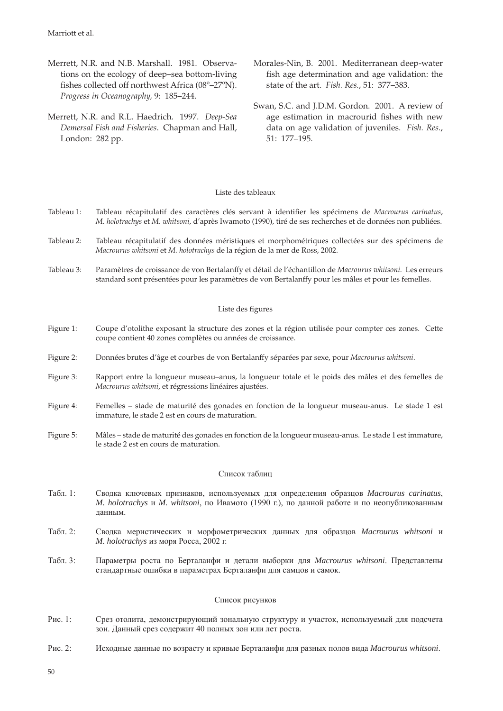Marriott et al.

- Merrett, N.R. and N.B. Marshall. 1981. Observations on the ecology of deep–sea bottom-living fishes collected off northwest Africa (08°-27°N). *Progress in Oceanography,* 9: 185–244.
- Merrett, N.R. and R.L. Haedrich. 1997. *Deep-Sea Demersal Fish and Fisheries*. Chapman and Hall, London: 282 pp.
- Morales-Nin, B. 2001. Mediterranean deep-water fish age determination and age validation: the state of the art. *Fish. Res.*, 51: 377–383.
- Swan, S.C. and J.D.M. Gordon. 2001. A review of age estimation in macrourid fishes with new data on age validation of juveniles. *Fish. Res.*, 51: 177–195.

# Liste des tableaux

- Tableau 1: Tableau récapitulatif des caractères clés servant à identifier les spécimens de *Macrourus carinatus*, *M. holotrachys* et *M. whitsoni*, d'après Iwamoto (1990), tiré de ses recherches et de données non publiées.
- Tableau 2: Tableau récapitulatif des données méristiques et morphométriques collectées sur des spécimens de *Macrourus whitsoni* et *M. holotrachys* de la région de la mer de Ross, 2002.
- Tableau 3: Paramètres de croissance de von Bertalanffy et détail de l'échantillon de *Macrourus whitsoni*. Les erreurs standard sont présentées pour les paramètres de von Bertalanffy pour les mâles et pour les femelles.

### Liste des figures

- Figure 1: Coupe d'otolithe exposant la structure des zones et la région utilisée pour compter ces zones. Cette coupe contient 40 zones complètes ou années de croissance.
- Figure 2: Données brutes d'âge et courbes de von Bertalanffy séparées par sexe, pour *Macrourus whitsoni*.
- Figure 3: Rapport entre la longueur museau–anus, la longueur totale et le poids des mâles et des femelles de *Macrourus whitsoni*, et régressions linéaires ajustées.
- Figure 4: Femelles stade de maturité des gonades en fonction de la longueur museau-anus. Le stade 1 est immature, le stade 2 est en cours de maturation.
- Figure 5: Mâles stade de maturité des gonades en fonction de la longueur museau-anus. Le stade 1 est immature, le stade 2 est en cours de maturation.

#### Список таблиц

- Табл. 1: Сводка ключевых признаков, используемых для определения образцов *Macrourus carinatus*, *M. holotrachys* и *M. whitsoni*, по Ивамото (1990 г.), по данной работе и по неопубликованным данным.
- Табл. 2: Сводка меристических и морфометрических данных для образцов *Macrourus whitsoni* и *M. holotrachys* из моря Росса, 2002 г.
- Табл. 3: Параметры роста по Берталанфи и детали выборки для *Macrourus whitsoni*. Представлены стандартные ошибки в параметрах Берталанфи для самцов и самок.

#### Список рисунков

- Рис. 1: Срез отолита, демонстрирующий зональную структуру и участок, используемый для подсчета зон. Данный срез содержит 40 полных зон или лет роста.
- Рис. 2: Исходные данные по возрасту и кривые Берталанфи для разных полов вида *Macrourus whitsoni*.

50